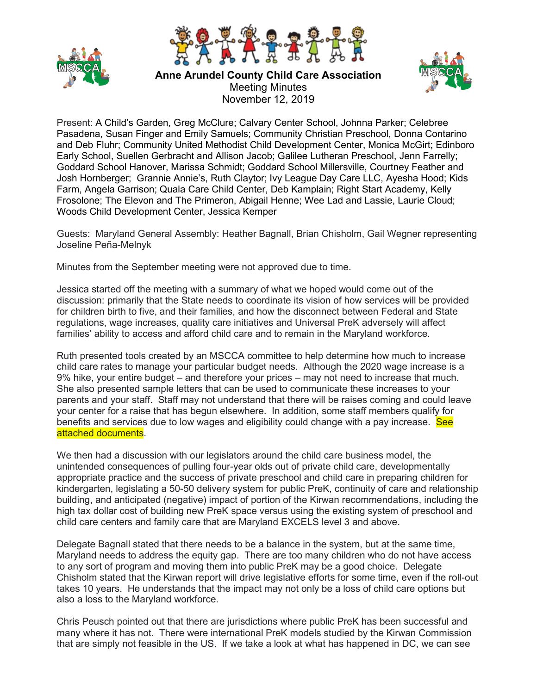



**Anne Arundel County Child Care Association** Meeting Minutes November 12, 2019



Present: A Child's Garden, Greg McClure; Calvary Center School, Johnna Parker; Celebree Pasadena, Susan Finger and Emily Samuels; Community Christian Preschool, Donna Contarino and Deb Fluhr; Community United Methodist Child Development Center, Monica McGirt; Edinboro Early School, Suellen Gerbracht and Allison Jacob; Galilee Lutheran Preschool, Jenn Farrelly; Goddard School Hanover, Marissa Schmidt; Goddard School Millersville, Courtney Feather and Josh Hornberger; Grannie Annie's, Ruth Claytor; Ivy League Day Care LLC, Ayesha Hood; Kids Farm, Angela Garrison; Quala Care Child Center, Deb Kamplain; Right Start Academy, Kelly Frosolone; The Elevon and The Primeron, Abigail Henne; Wee Lad and Lassie, Laurie Cloud; Woods Child Development Center, Jessica Kemper

Guests: Maryland General Assembly: Heather Bagnall, Brian Chisholm, Gail Wegner representing Joseline Peña-Melnyk

Minutes from the September meeting were not approved due to time.

Jessica started off the meeting with a summary of what we hoped would come out of the discussion: primarily that the State needs to coordinate its vision of how services will be provided for children birth to five, and their families, and how the disconnect between Federal and State regulations, wage increases, quality care initiatives and Universal PreK adversely will affect families' ability to access and afford child care and to remain in the Maryland workforce.

Ruth presented tools created by an MSCCA committee to help determine how much to increase child care rates to manage your particular budget needs. Although the 2020 wage increase is a 9% hike, your entire budget – and therefore your prices – may not need to increase that much. She also presented sample letters that can be used to communicate these increases to your parents and your staff. Staff may not understand that there will be raises coming and could leave your center for a raise that has begun elsewhere. In addition, some staff members qualify for benefits and services due to low wages and eligibility could change with a pay increase. See attached documents.

We then had a discussion with our legislators around the child care business model, the unintended consequences of pulling four-year olds out of private child care, developmentally appropriate practice and the success of private preschool and child care in preparing children for kindergarten, legislating a 50-50 delivery system for public PreK, continuity of care and relationship building, and anticipated (negative) impact of portion of the Kirwan recommendations, including the high tax dollar cost of building new PreK space versus using the existing system of preschool and child care centers and family care that are Maryland EXCELS level 3 and above.

Delegate Bagnall stated that there needs to be a balance in the system, but at the same time, Maryland needs to address the equity gap. There are too many children who do not have access to any sort of program and moving them into public PreK may be a good choice. Delegate Chisholm stated that the Kirwan report will drive legislative efforts for some time, even if the roll-out takes 10 years. He understands that the impact may not only be a loss of child care options but also a loss to the Maryland workforce.

Chris Peusch pointed out that there are jurisdictions where public PreK has been successful and many where it has not. There were international PreK models studied by the Kirwan Commission that are simply not feasible in the US. If we take a look at what has happened in DC, we can see